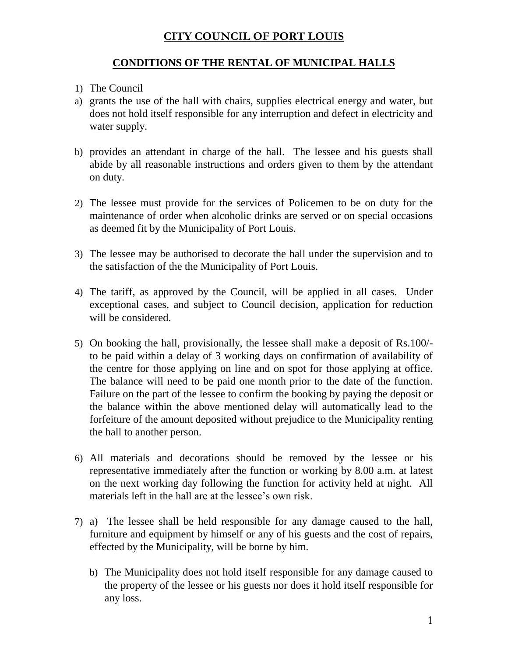## **CITY COUNCIL OF PORT LOUIS**

## **CONDITIONS OF THE RENTAL OF MUNICIPAL HALLS**

- 1) The Council
- a) grants the use of the hall with chairs, supplies electrical energy and water, but does not hold itself responsible for any interruption and defect in electricity and water supply.
- b) provides an attendant in charge of the hall. The lessee and his guests shall abide by all reasonable instructions and orders given to them by the attendant on duty.
- 2) The lessee must provide for the services of Policemen to be on duty for the maintenance of order when alcoholic drinks are served or on special occasions as deemed fit by the Municipality of Port Louis.
- 3) The lessee may be authorised to decorate the hall under the supervision and to the satisfaction of the the Municipality of Port Louis.
- 4) The tariff, as approved by the Council, will be applied in all cases. Under exceptional cases, and subject to Council decision, application for reduction will be considered.
- 5) On booking the hall, provisionally, the lessee shall make a deposit of Rs.100/ to be paid within a delay of 3 working days on confirmation of availability of the centre for those applying on line and on spot for those applying at office. The balance will need to be paid one month prior to the date of the function. Failure on the part of the lessee to confirm the booking by paying the deposit or the balance within the above mentioned delay will automatically lead to the forfeiture of the amount deposited without prejudice to the Municipality renting the hall to another person.
- 6) All materials and decorations should be removed by the lessee or his representative immediately after the function or working by 8.00 a.m. at latest on the next working day following the function for activity held at night. All materials left in the hall are at the lessee's own risk.
- 7) a) The lessee shall be held responsible for any damage caused to the hall, furniture and equipment by himself or any of his guests and the cost of repairs, effected by the Municipality, will be borne by him.
	- b) The Municipality does not hold itself responsible for any damage caused to the property of the lessee or his guests nor does it hold itself responsible for any loss.